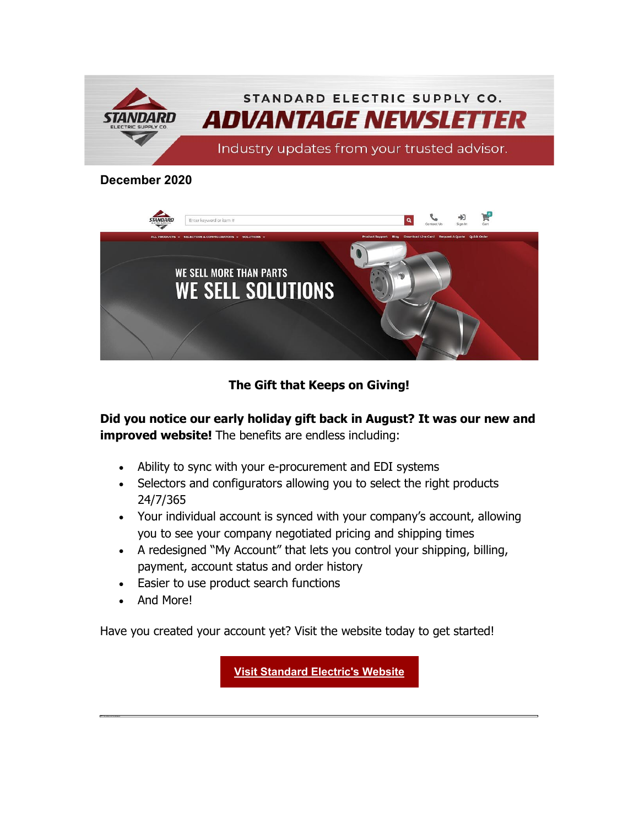

#### **December 2020**



#### **The Gift that Keeps on Giving!**

**Did you notice our early holiday gift back in August? It was our new and improved website!** The benefits are endless including:

- Ability to sync with your e-procurement and EDI systems
- Selectors and configurators allowing you to select the right products 24/7/365
- Your individual account is synced with your company's account, allowing you to see your company negotiated pricing and shipping times
- A redesigned "My Account" that lets you control your shipping, billing, payment, account status and order history
- Easier to use product search functions
- And More!

Have you created your account yet? Visit the website today to get started!

**[Visit Standard Electric's Website](https://nam04.safelinks.protection.outlook.com/?url=https%3A%2F%2Finfo.standardelectricsupply.com%2Fe2t%2Ftc%2FVXhms17tBYSMW6sKxDh4CDNm4W91lZlN4kT6DLN9fbGb53p_9LV1-WJV7CgBZLW87hkFd3xdwRDW7-9lWQ8Tnqh7W8Sl1XQ60TZTYW1pvLK-4-jjdYW9hqZkZ729YJQW8lVWYX2xNkxpN8pf669F7GLqW6Q5LBg6Z0JVmVD2Rd85RDLLgW6fD3zg8NVkldW6p1-T02J-sbcW1SyRd843xsrJW5w-2qf2ghm3gW30gTFq4s-cpRW98pMXS65dmsSW7Z4_4p6p0Y4GW2ynSKM87H-ZNW79v4y92pbTwbW2KmHtS3DmMQcW3wKb8786vVK5N5821CTR6DhbW9gvrJD7fqGQ5W1kcJbj8Gs8h_V_r1Cj9gwL3HW2KWLqz8804QWN3hRJCg6rSmTW55y_Wg4VdyPkW5KzvTp6pcG1H39SC1&data=04%7C01%7Cdgebelein%40standardelectricsupply.com%7C999503ea98f14904700d08d8a5bd41eb%7C4b02a9df33c0464e84121b8c3bcfec3c%7C0%7C0%7C637441579573142373%7CUnknown%7CTWFpbGZsb3d8eyJWIjoiMC4wLjAwMDAiLCJQIjoiV2luMzIiLCJBTiI6Ik1haWwiLCJXVCI6Mn0%3D%7C1000&sdata=7xEcXPTOzSMy8bFk6fii44gGh%2FnlgFnnX2sdpnvt9bI%3D&reserved=0)**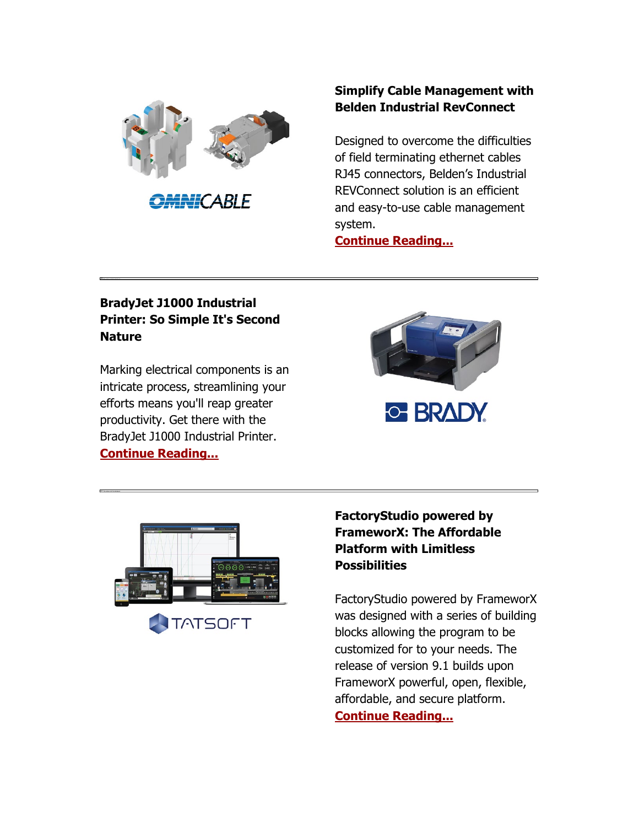

**MAH**CABLE

## **Simplify Cable Management with Belden Industrial RevConnect**

Designed to overcome the difficulties of field terminating ethernet cables RJ45 connectors, Belden's Industrial REVConnect solution is an efficient and easy-to-use cable management system.

**[Continue Reading...](https://nam04.safelinks.protection.outlook.com/?url=https%3A%2F%2Finfo.standardelectricsupply.com%2Fe2t%2Ftc%2FVXhms17tBYSMW6sKxDh4CDNm4W91lZlN4kT6DLN9fbG8k5nxG7V3Zsc37Cg-HPVzyjDG6KsT8tW5JHNgt1pZh2FN6TvWvKDvhl4F6fHHXrg6F3W1jTn0b818QGKT_MS6283YFsV_VyNh5_LmZcW5VpkJV52fqCQW1zVXHZ5Mwg5LW7VDBKb2DlT7QN98Nyh19StpQW71mm_62H9hF6N7GFXDVRK5LcW9kVHhX4ftFQTW4FxpH_5_yF3hW3rqBth4vQ6pwW7Z-VHp1-z9KkW40g2Cb4nHqSBW28NTgF4WsmbXV3S2lS4-Y6YtW5vS2sZ5JftTGVPjqd955VcfFW96chdC744sMkW5KdLz64hHT-vN8HJHHPRqK2TW3VsKPm4S2Cj0VvzKBc3s7lSlW3cxMT43sJwYbW6S4dHJ7R44hKN73rcsS7MBlCW5QtGsF7lM4FnW9dGX-d7nf87v3p3G1&data=04%7C01%7Cdgebelein%40standardelectricsupply.com%7C999503ea98f14904700d08d8a5bd41eb%7C4b02a9df33c0464e84121b8c3bcfec3c%7C0%7C0%7C637441579573152373%7CUnknown%7CTWFpbGZsb3d8eyJWIjoiMC4wLjAwMDAiLCJQIjoiV2luMzIiLCJBTiI6Ik1haWwiLCJXVCI6Mn0%3D%7C1000&sdata=3PmRh7k0Q7udJt20nJ3x6s0fe7L%2F11gzOkem5dA6mCI%3D&reserved=0)**

## **BradyJet J1000 Industrial Printer: So Simple It's Second Nature**

Marking electrical components is an intricate process, streamlining your efforts means you'll reap greater productivity. Get there with the BradyJet J1000 Industrial Printer. **[Continue Reading...](https://nam04.safelinks.protection.outlook.com/?url=https%3A%2F%2Finfo.standardelectricsupply.com%2Fe2t%2Ftc%2FVXhms17tBYSMW6sKxDh4CDNm4W91lZlN4kT6DLN9fbG8k5nxG7V3Zsc37CgXbrW4rZzlN3HxDR_W4Lprch3knNhjW6nYdlf3Rtd8WW8dT2gx3wqPPCW62JNMw6S2lw3N2k7S6Sp25cPW4C8sKk6Yc8VfW8H7MFh2LjXQHW9hJBPd367rhhN3D2s_qk2lqrW8pwKj02YxnKmW3-83hd3Cbp_VW7yt6Br8HMkH_W5kl1t-7K0JZRW5fsNqW6f7VP-W6B4wHn33G_FyW2y_hv-8fl5CYW3FHT9g81wWwHW4JdcNN3Wn6yPVJKSvg7zS72mW4L8S9f3nPrLJVBnxMq81NqHSW16H90L5H23H1W272cM77Zdt83W41WDcZ5qbFn2W24lgY31cQ_N1W1DVJcb24-3XCW9738dk33XlhQW6rL3qs44x8rgW4gx8tl1hM4wtW4py1yh1x5GpmW4chDBB1qPzTt3pqj1&data=04%7C01%7Cdgebelein%40standardelectricsupply.com%7C999503ea98f14904700d08d8a5bd41eb%7C4b02a9df33c0464e84121b8c3bcfec3c%7C0%7C0%7C637441579573152373%7CUnknown%7CTWFpbGZsb3d8eyJWIjoiMC4wLjAwMDAiLCJQIjoiV2luMzIiLCJBTiI6Ik1haWwiLCJXVCI6Mn0%3D%7C1000&sdata=J3by4JS9zDonG9zNRRl291MbFiFi7nvd54mhZIy2tZc%3D&reserved=0)**





# **FactoryStudio powered by FrameworX: The Affordable Platform with Limitless Possibilities**

FactoryStudio powered by FrameworX was designed with a series of building blocks allowing the program to be customized for to your needs. The release of version 9.1 builds upon FrameworX powerful, open, flexible, affordable, and secure platform. **[Continue Reading...](https://nam04.safelinks.protection.outlook.com/?url=https%3A%2F%2Finfo.standardelectricsupply.com%2Fe2t%2Ftc%2FVXhms17tBYSMW6sKxDh4CDNm4W91lZlN4kT6DLN9fbG8D5nxGrV3Zsc37CgZSMW5NVPhv7qJ3T1W15Rz4H1xC4yhN1Tp5ht31v-3W4XR3Y03f1p4JW1nVkxS7zjCQLW5HV3yH68bGvlW18K3wZ22jSchW4FSt0w16R3m6W4L5Q8_83LdPyN7mJ6X7qdSJhW4N982d5VMBk4N6pBWgbyZ57JW7pcQLs80yx0qVwQkHb8K83HYW8H5tSl6KWCdtW3D7rP32NDBC3W1WDCF66CLfXCV_YhL54cGyfNN3HB-tJjyBGQW2H5nfg8YWzlnW1GSNLB3BZlsXW6snHBm4C6Ph2W1mg9lS7TYrNgW4THv3d49KVfXW2LX-t12PkdS0W7XB23F4pg3gBW5wcNjN4NB7FXW25LDQS1J4YpLW80ZDMh92t56tW1YfTM89591RTW4NHXD07Jftx7W8t3xXX45mFX3W2NqD5h75W6BSW1N3r4T2kX3zq33tn1&data=04%7C01%7Cdgebelein%40standardelectricsupply.com%7C999503ea98f14904700d08d8a5bd41eb%7C4b02a9df33c0464e84121b8c3bcfec3c%7C0%7C0%7C637441579573172353%7CUnknown%7CTWFpbGZsb3d8eyJWIjoiMC4wLjAwMDAiLCJQIjoiV2luMzIiLCJBTiI6Ik1haWwiLCJXVCI6Mn0%3D%7C1000&sdata=VUsZ1UZ6qIlb6BXy0pjyOdz4ZGZf37E%2FFs6kwWAp0kI%3D&reserved=0)**